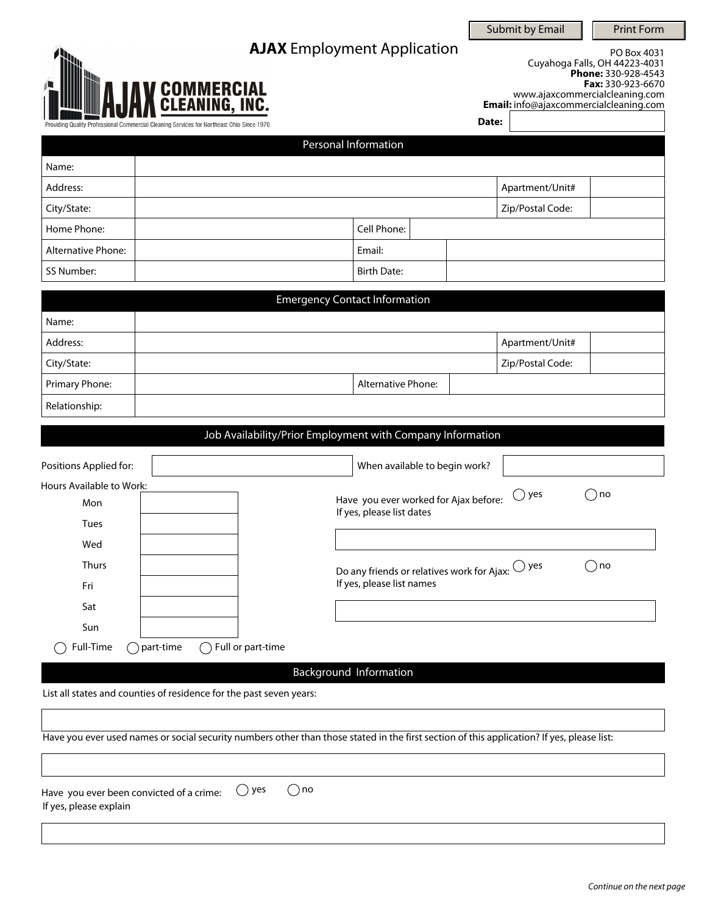# **AJAX** Employment Application

Submit by Email  $\|\cdot\|$  Print Form

| <b>JAX COMMERCIAL</b>                                                                     |  |
|-------------------------------------------------------------------------------------------|--|
| Providing Quality Professional Commercial Cleaning Services for Northeast Ohio Since 1970 |  |

PO Box 4031 Cuyahoga Falls, OH 44223-4031 **Phone:** 330-928-4543 **Fax:** 330-923-6670 www.ajaxcommercialcleaning.com **Email:** info@ajaxcommercialcleaning.com

**Date:**

|                           | Personal Information |  |                  |  |
|---------------------------|----------------------|--|------------------|--|
| Name:                     |                      |  |                  |  |
| Address:                  |                      |  | Apartment/Unit#  |  |
| City/State:               |                      |  | Zip/Postal Code: |  |
| Home Phone:               | Cell Phone:          |  |                  |  |
| <b>Alternative Phone:</b> | Email:               |  |                  |  |
| SS Number:                | <b>Birth Date:</b>   |  |                  |  |

|                | <b>Emergency Contact Information</b> |                  |
|----------------|--------------------------------------|------------------|
| Name:          |                                      |                  |
| Address:       |                                      | Apartment/Unit#  |
| City/State:    |                                      | Zip/Postal Code: |
| Primary Phone: | <b>Alternative Phone:</b>            |                  |
| Relationship:  |                                      |                  |

Job Availability/Prior Employment with Company Information

| Positions Applied for:   |             |                   | When available to begin work?                                      |                |       |
|--------------------------|-------------|-------------------|--------------------------------------------------------------------|----------------|-------|
| Hours Available to Work: |             |                   |                                                                    | $\bigcirc$ yes | ้) no |
| Mon                      |             |                   | Have you ever worked for Ajax before:<br>If yes, please list dates |                |       |
| <b>Tues</b>              |             |                   |                                                                    |                |       |
| Wed                      |             |                   |                                                                    |                |       |
| <b>Thurs</b>             |             |                   | Do any friends or relatives work for Ajax: $\bigcirc$ yes          |                | ⊇no   |
| Fri                      |             |                   | If yes, please list names                                          |                |       |
| Sat                      |             |                   |                                                                    |                |       |
| Sun                      |             |                   |                                                                    |                |       |
| Full-Time                | ) part-time | Full or part-time |                                                                    |                |       |

Background Information

List all states and counties of residence for the past seven years:

 $\overline{\phantom{a}}$ 

|                                                                                   | Have you ever used names or social security numbers other than those stated in the first section of this application? If yes, please list: |
|-----------------------------------------------------------------------------------|--------------------------------------------------------------------------------------------------------------------------------------------|
|                                                                                   |                                                                                                                                            |
| Have you ever been convicted of a crime: $\bigcirc$ yes<br>If yes, please explain | ( ) no                                                                                                                                     |
|                                                                                   |                                                                                                                                            |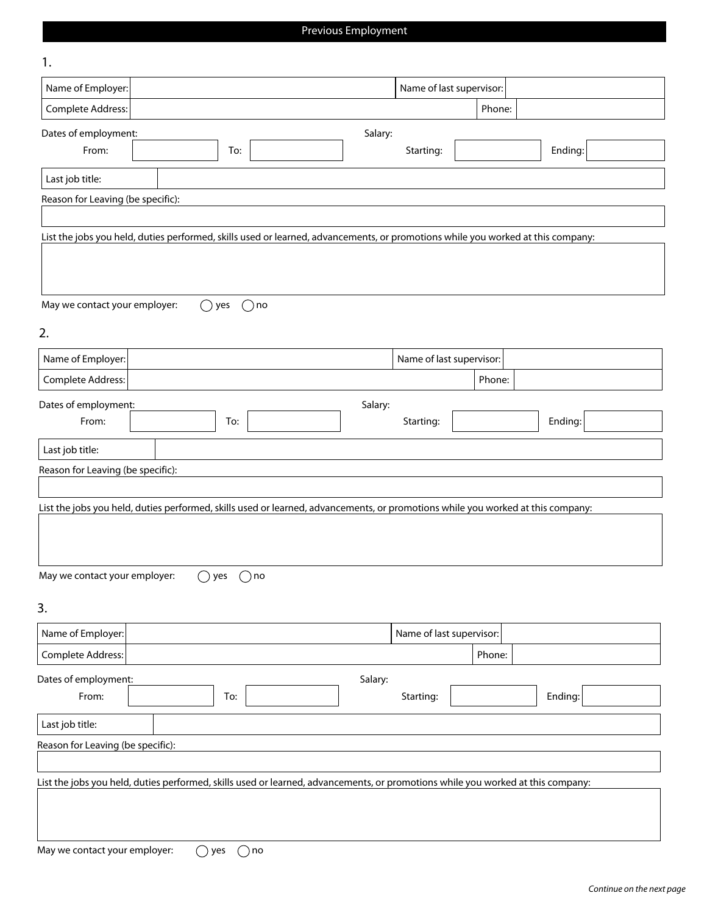# Previous Employment

| 1.                                                                                                                              |                |     |                                                                                                                                 |         |                          |                          |         |
|---------------------------------------------------------------------------------------------------------------------------------|----------------|-----|---------------------------------------------------------------------------------------------------------------------------------|---------|--------------------------|--------------------------|---------|
| Name of Employer:                                                                                                               |                |     |                                                                                                                                 |         |                          | Name of last supervisor: |         |
| Complete Address:                                                                                                               |                |     |                                                                                                                                 |         |                          | Phone:                   |         |
| Dates of employment:                                                                                                            |                |     |                                                                                                                                 | Salary: |                          |                          |         |
| From:                                                                                                                           |                | To: |                                                                                                                                 |         | Starting:                |                          | Ending: |
| Last job title:                                                                                                                 |                |     |                                                                                                                                 |         |                          |                          |         |
| Reason for Leaving (be specific):                                                                                               |                |     |                                                                                                                                 |         |                          |                          |         |
|                                                                                                                                 |                |     |                                                                                                                                 |         |                          |                          |         |
|                                                                                                                                 |                |     | List the jobs you held, duties performed, skills used or learned, advancements, or promotions while you worked at this company: |         |                          |                          |         |
|                                                                                                                                 |                |     |                                                                                                                                 |         |                          |                          |         |
| May we contact your employer:                                                                                                   |                | yes | $()$ no                                                                                                                         |         |                          |                          |         |
| 2.                                                                                                                              |                |     |                                                                                                                                 |         |                          |                          |         |
| Name of Employer:                                                                                                               |                |     |                                                                                                                                 |         | Name of last supervisor: |                          |         |
| Complete Address:                                                                                                               |                |     |                                                                                                                                 |         |                          | Phone:                   |         |
| Dates of employment:                                                                                                            |                |     |                                                                                                                                 | Salary: |                          |                          |         |
| From:                                                                                                                           |                | To: |                                                                                                                                 |         | Starting:                |                          | Ending: |
| Last job title:                                                                                                                 |                |     |                                                                                                                                 |         |                          |                          |         |
| Reason for Leaving (be specific):                                                                                               |                |     |                                                                                                                                 |         |                          |                          |         |
|                                                                                                                                 |                |     |                                                                                                                                 |         |                          |                          |         |
|                                                                                                                                 |                |     | List the jobs you held, duties performed, skills used or learned, advancements, or promotions while you worked at this company: |         |                          |                          |         |
|                                                                                                                                 |                |     |                                                                                                                                 |         |                          |                          |         |
| May we contact your employer:                                                                                                   | $\bigcap$      | yes | $( )$ no                                                                                                                        |         |                          |                          |         |
| 3.                                                                                                                              |                |     |                                                                                                                                 |         |                          |                          |         |
| Name of Employer:                                                                                                               |                |     |                                                                                                                                 |         | Name of last supervisor: |                          |         |
| Complete Address:                                                                                                               |                |     |                                                                                                                                 |         |                          | Phone:                   |         |
| Dates of employment:                                                                                                            |                |     |                                                                                                                                 | Salary: |                          |                          |         |
| From:                                                                                                                           |                | To: |                                                                                                                                 |         | Starting:                |                          | Ending: |
| Last job title:                                                                                                                 |                |     |                                                                                                                                 |         |                          |                          |         |
| Reason for Leaving (be specific):                                                                                               |                |     |                                                                                                                                 |         |                          |                          |         |
|                                                                                                                                 |                |     |                                                                                                                                 |         |                          |                          |         |
| List the jobs you held, duties performed, skills used or learned, advancements, or promotions while you worked at this company: |                |     |                                                                                                                                 |         |                          |                          |         |
|                                                                                                                                 |                |     |                                                                                                                                 |         |                          |                          |         |
|                                                                                                                                 |                |     |                                                                                                                                 |         |                          |                          |         |
| May we contact your employer:                                                                                                   | $\bigcirc$ yes |     | ) no                                                                                                                            |         |                          |                          |         |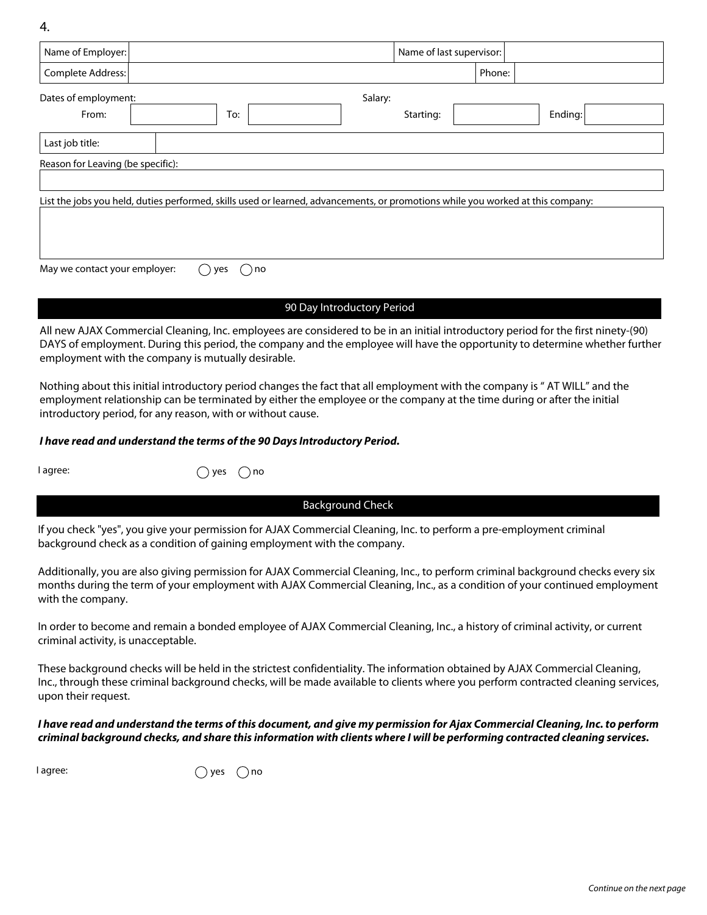4.

| Name of Employer:                 |                                                                                                                                 |         | Name of last supervisor: |        |         |
|-----------------------------------|---------------------------------------------------------------------------------------------------------------------------------|---------|--------------------------|--------|---------|
| Complete Address:                 |                                                                                                                                 |         |                          | Phone: |         |
| Dates of employment:              |                                                                                                                                 | Salary: |                          |        |         |
| From:                             | To:                                                                                                                             |         | Starting:                |        | Ending: |
| Last job title:                   |                                                                                                                                 |         |                          |        |         |
| Reason for Leaving (be specific): |                                                                                                                                 |         |                          |        |         |
|                                   | List the jobs you held, duties performed, skills used or learned, advancements, or promotions while you worked at this company: |         |                          |        |         |
| May we contact your employer:     | no<br>ves                                                                                                                       |         |                          |        |         |

## 90 Day Introductory Period

All new AJAX Commercial Cleaning, Inc. employees are considered to be in an initial introductory period for the first ninety-(90) DAYS of employment. During this period, the company and the employee will have the opportunity to determine whether further employment with the company is mutually desirable.

Nothing about this initial introductory period changes the fact that all employment with the company is " AT WILL" and the employment relationship can be terminated by either the employee or the company at the time during or after the initial introductory period, for any reason, with or without cause.

### *I have read and understand the terms of the 90 Days Introductory Period.*

 $I$  agree:  $\bigcap$  yes  $\bigcap$  no

Background Check

If you check "yes", you give your permission for AJAX Commercial Cleaning, Inc. to perform a pre-employment criminal background check as a condition of gaining employment with the company.

Additionally, you are also giving permission for AJAX Commercial Cleaning, Inc., to perform criminal background checks every six months during the term of your employment with AJAX Commercial Cleaning, Inc., as a condition of your continued employment with the company.

In order to become and remain a bonded employee of AJAX Commercial Cleaning, Inc., a history of criminal activity, or current criminal activity, is unacceptable.

These background checks will be held in the strictest confidentiality. The information obtained by AJAX Commercial Cleaning, Inc., through these criminal background checks, will be made available to clients where you perform contracted cleaning services, upon their request.

### *I have read and understand the terms of this document, and give my permission for Ajax Commercial Cleaning, Inc. to perform criminal background checks, and share this information with clients where I will be performing contracted cleaning services.*

 $I$  agree:  $\bigcap$  yes  $\bigcap$  no